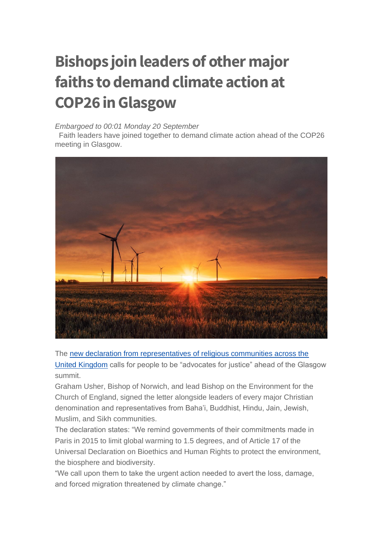## **Bishops join leaders of other major faiths to demand climate action at COP26 in Glasgow**

## *Embargoed to 00:01 Monday 20 September*

Faith leaders have joined together to demand climate action ahead of the COP26 meeting in Glasgow.



The [new declaration from representatives of religious communities across the](https://churchofengland.us2.list-manage.com/track/click?u=50eac70851c7245ce1ce00c45&id=82609e2df6&e=bc2b0062c6)  [United Kingdom](https://churchofengland.us2.list-manage.com/track/click?u=50eac70851c7245ce1ce00c45&id=82609e2df6&e=bc2b0062c6) calls for people to be "advocates for justice" ahead of the Glasgow summit.

Graham Usher, Bishop of Norwich, and lead Bishop on the Environment for the Church of England, signed the letter alongside leaders of every major Christian denomination and representatives from Baha'i, Buddhist, Hindu, Jain, Jewish, Muslim, and Sikh communities.

The declaration states: "We remind governments of their commitments made in Paris in 2015 to limit global warming to 1.5 degrees, and of Article 17 of the Universal Declaration on Bioethics and Human Rights to protect the environment, the biosphere and biodiversity.

"We call upon them to take the urgent action needed to avert the loss, damage, and forced migration threatened by climate change."